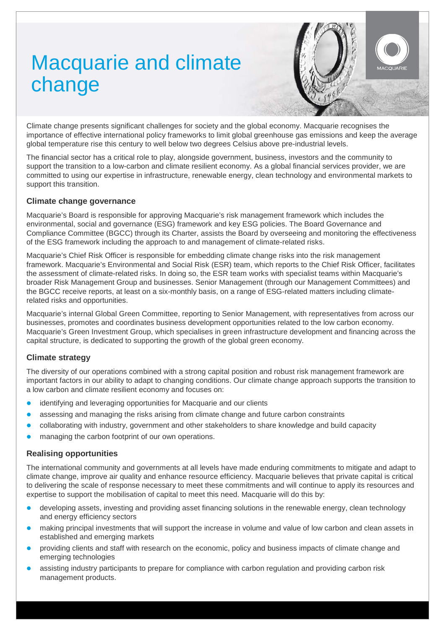# Macquarie and climate change



Climate change presents significant challenges for society and the global economy. Macquarie recognises the importance of effective international policy frameworks to limit global greenhouse gas emissions and keep the average global temperature rise this century to well below two degrees Celsius above pre-industrial levels.

The financial sector has a critical role to play, alongside government, business, investors and the community to support the transition to a low-carbon and climate resilient economy. As a global financial services provider, we are committed to using our expertise in infrastructure, renewable energy, clean technology and environmental markets to support this transition.

## **Climate change governance**

Macquarie's Board is responsible for approving Macquarie's risk management framework which includes the environmental, social and governance (ESG) framework and key ESG policies. The Board Governance and Compliance Committee (BGCC) through its Charter, assists the Board by overseeing and monitoring the effectiveness of the ESG framework including the approach to and management of climate-related risks.

Macquarie's Chief Risk Officer is responsible for embedding climate change risks into the risk management framework. Macquarie's Environmental and Social Risk (ESR) team, which reports to the Chief Risk Officer, facilitates the assessment of climate-related risks. In doing so, the ESR team works with specialist teams within Macquarie's broader Risk Management Group and businesses. Senior Management (through our Management Committees) and the BGCC receive reports, at least on a six-monthly basis, on a range of ESG-related matters including climaterelated risks and opportunities.

Macquarie's internal Global Green Committee, reporting to Senior Management, with representatives from across our businesses, promotes and coordinates business development opportunities related to the low carbon economy. Macquarie's Green Investment Group, which specialises in green infrastructure development and financing across the capital structure, is dedicated to supporting the growth of the global green economy.

# **Climate strategy**

The diversity of our operations combined with a strong capital position and robust risk management framework are important factors in our ability to adapt to changing conditions. Our climate change approach supports the transition to a low carbon and climate resilient economy and focuses on:

- identifying and leveraging opportunities for Macquarie and our clients
- assessing and managing the risks arising from climate change and future carbon constraints
- collaborating with industry, government and other stakeholders to share knowledge and build capacity
- managing the carbon footprint of our own operations.

## **Realising opportunities**

The international community and governments at all levels have made enduring commitments to mitigate and adapt to climate change, improve air quality and enhance resource efficiency. Macquarie believes that private capital is critical to delivering the scale of response necessary to meet these commitments and will continue to apply its resources and expertise to support the mobilisation of capital to meet this need. Macquarie will do this by:

- developing assets, investing and providing asset financing solutions in the renewable energy, clean technology and energy efficiency sectors
- making principal investments that will support the increase in volume and value of low carbon and clean assets in established and emerging markets
- providing clients and staff with research on the economic, policy and business impacts of climate change and emerging technologies
- assisting industry participants to prepare for compliance with carbon regulation and providing carbon risk management products.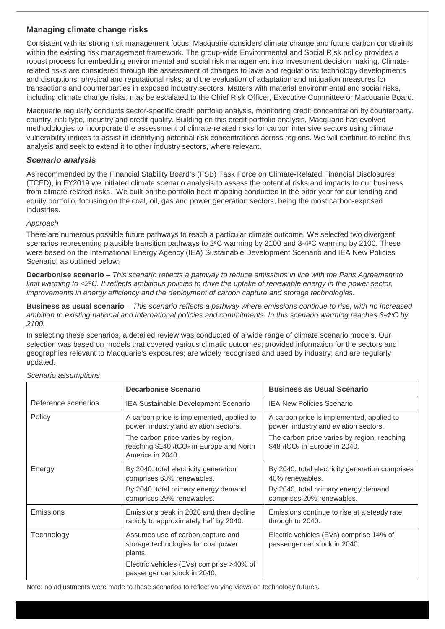# **Managing climate change risks**

Consistent with its strong risk management focus, Macquarie considers climate change and future carbon constraints within the existing risk management framework. The group-wide Environmental and Social Risk policy provides a robust process for embedding environmental and social risk management into investment decision making. Climaterelated risks are considered through the assessment of changes to laws and regulations; technology developments and disruptions; physical and reputational risks; and the evaluation of adaptation and mitigation measures for transactions and counterparties in exposed industry sectors. Matters with material environmental and social risks, including climate change risks, may be escalated to the Chief Risk Officer, Executive Committee or Macquarie Board.

Macquarie regularly conducts sector-specific credit portfolio analysis, monitoring credit concentration by counterparty, country, risk type, industry and credit quality. Building on this credit portfolio analysis, Macquarie has evolved methodologies to incorporate the assessment of climate-related risks for carbon intensive sectors using climate vulnerability indices to assist in identifying potential risk concentrations across regions. We will continue to refine this analysis and seek to extend it to other industry sectors, where relevant.

### *Scenario analysis*

As recommended by the Financial Stability Board's (FSB) Task Force on Climate-Related Financial Disclosures (TCFD), in FY2019 we initiated climate scenario analysis to assess the potential risks and impacts to our business from climate-related risks. We built on the portfolio heat-mapping conducted in the prior year for our lending and equity portfolio, focusing on the coal, oil, gas and power generation sectors, being the most carbon-exposed industries.

#### *Approach*

There are numerous possible future pathways to reach a particular climate outcome. We selected two divergent scenarios representing plausible transition pathways to 2<sup>o</sup>C warming by 2100 and 3-4<sup>o</sup>C warming by 2100. These were based on the International Energy Agency (IEA) Sustainable Development Scenario and IEA New Policies Scenario, as outlined below:

**Decarbonise scenario** – *This scenario reflects a pathway to reduce emissions in line with the Paris Agreement to limit warming to <2<sup>o</sup>C. It reflects ambitious policies to drive the uptake of renewable energy in the power sector, improvements in energy efficiency and the deployment of carbon capture and storage technologies.*

**Business as usual scenario** – *This scenario reflects a pathway where emissions continue to rise, with no increased ambition to existing national and international policies and commitments. In this scenario warming reaches 3-4oC by 2100.*

In selecting these scenarios, a detailed review was conducted of a wide range of climate scenario models. Our selection was based on models that covered various climatic outcomes; provided information for the sectors and geographies relevant to Macquarie's exposures; are widely recognised and used by industry; and are regularly updated.

|                     | <b>Decarbonise Scenario</b>                                                                                    | <b>Business as Usual Scenario</b>                                                        |
|---------------------|----------------------------------------------------------------------------------------------------------------|------------------------------------------------------------------------------------------|
| Reference scenarios | IEA Sustainable Development Scenario                                                                           | <b>IEA New Policies Scenario</b>                                                         |
| Policy              | A carbon price is implemented, applied to<br>power, industry and aviation sectors.                             | A carbon price is implemented, applied to<br>power, industry and aviation sectors.       |
|                     | The carbon price varies by region,<br>reaching \$140 /tCO <sub>2</sub> in Europe and North<br>America in 2040. | The carbon price varies by region, reaching<br>\$48 /tCO <sub>2</sub> in Europe in 2040. |
| Energy              | By 2040, total electricity generation<br>comprises 63% renewables.                                             | By 2040, total electricity generation comprises<br>40% renewables.                       |
|                     | By 2040, total primary energy demand<br>comprises 29% renewables.                                              | By 2040, total primary energy demand<br>comprises 20% renewables.                        |
| <b>Emissions</b>    | Emissions peak in 2020 and then decline<br>rapidly to approximately half by 2040.                              | Emissions continue to rise at a steady rate<br>through to 2040.                          |
| Technology          | Assumes use of carbon capture and<br>storage technologies for coal power<br>plants.                            | Electric vehicles (EVs) comprise 14% of<br>passenger car stock in 2040.                  |
|                     | Electric vehicles (EVs) comprise >40% of<br>passenger car stock in 2040.                                       |                                                                                          |

#### *Scenario assumptions*

Note: no adjustments were made to these scenarios to reflect varying views on technology futures.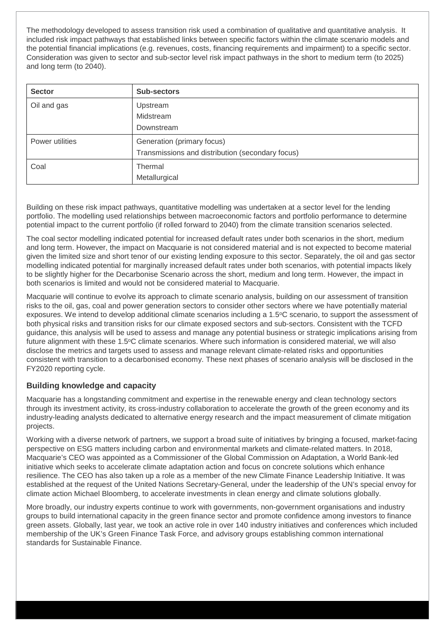The methodology developed to assess transition risk used a combination of qualitative and quantitative analysis. It included risk impact pathways that established links between specific factors within the climate scenario models and the potential financial implications (e.g. revenues, costs, financing requirements and impairment) to a specific sector. Consideration was given to sector and sub-sector level risk impact pathways in the short to medium term (to 2025) and long term (to 2040).

| <b>Sector</b>   | <b>Sub-sectors</b>                               |  |
|-----------------|--------------------------------------------------|--|
| Oil and gas     | Upstream                                         |  |
|                 | Midstream                                        |  |
|                 | Downstream                                       |  |
| Power utilities | Generation (primary focus)                       |  |
|                 | Transmissions and distribution (secondary focus) |  |
| Coal            | Thermal                                          |  |
|                 | Metallurgical                                    |  |

Building on these risk impact pathways, quantitative modelling was undertaken at a sector level for the lending portfolio. The modelling used relationships between macroeconomic factors and portfolio performance to determine potential impact to the current portfolio (if rolled forward to 2040) from the climate transition scenarios selected.

The coal sector modelling indicated potential for increased default rates under both scenarios in the short, medium and long term. However, the impact on Macquarie is not considered material and is not expected to become material given the limited size and short tenor of our existing lending exposure to this sector. Separately, the oil and gas sector modelling indicated potential for marginally increased default rates under both scenarios, with potential impacts likely to be slightly higher for the Decarbonise Scenario across the short, medium and long term. However, the impact in both scenarios is limited and would not be considered material to Macquarie.

Macquarie will continue to evolve its approach to climate scenario analysis, building on our assessment of transition risks to the oil, gas, coal and power generation sectors to consider other sectors where we have potentially material exposures. We intend to develop additional climate scenarios including a 1.5°C scenario, to support the assessment of both physical risks and transition risks for our climate exposed sectors and sub-sectors. Consistent with the TCFD guidance, this analysis will be used to assess and manage any potential business or strategic implications arising from future alignment with these 1.5°C climate scenarios. Where such information is considered material, we will also disclose the metrics and targets used to assess and manage relevant climate-related risks and opportunities consistent with transition to a decarbonised economy. These next phases of scenario analysis will be disclosed in the FY2020 reporting cycle.

# **Building knowledge and capacity**

Macquarie has a longstanding commitment and expertise in the renewable energy and clean technology sectors through its investment activity, its cross-industry collaboration to accelerate the growth of the green economy and its industry-leading analysts dedicated to alternative energy research and the impact measurement of climate mitigation projects.

Working with a diverse network of partners, we support a broad suite of initiatives by bringing a focused, market-facing perspective on ESG matters including carbon and environmental markets and climate-related matters. In 2018, Macquarie's CEO was appointed as a Commissioner of the Global Commission on Adaptation, a World Bank-led initiative which seeks to accelerate climate adaptation action and focus on concrete solutions which enhance resilience. The CEO has also taken up a role as a member of the new Climate Finance Leadership Initiative. It was established at the request of the United Nations Secretary-General, under the leadership of the UN's special envoy for climate action Michael Bloomberg, to accelerate investments in clean energy and climate solutions globally.

More broadly, our industry experts continue to work with governments, non-government organisations and industry groups to build international capacity in the green finance sector and promote confidence among investors to finance green assets. Globally, last year, we took an active role in over 140 industry initiatives and conferences which included membership of the UK's Green Finance Task Force, and advisory groups establishing common international standards for Sustainable Finance.